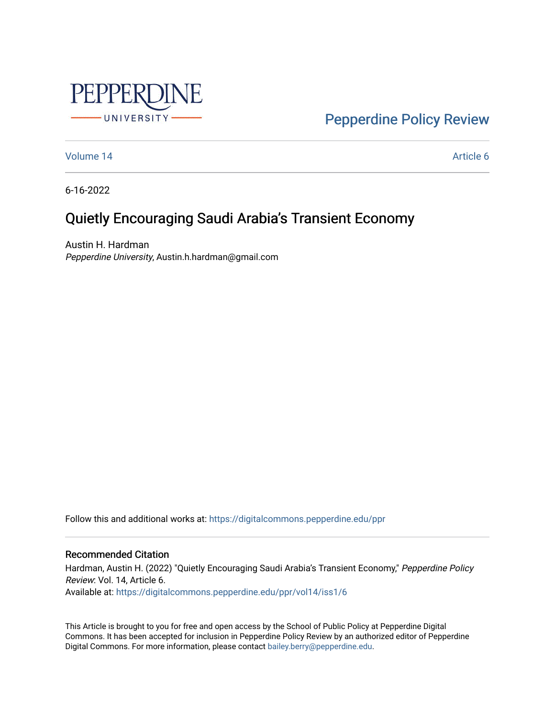

[Pepperdine Policy Review](https://digitalcommons.pepperdine.edu/ppr) 

[Volume 14](https://digitalcommons.pepperdine.edu/ppr/vol14) Article 6

6-16-2022

# Quietly Encouraging Saudi Arabia's Transient Economy

Austin H. Hardman Pepperdine University, Austin.h.hardman@gmail.com

Follow this and additional works at: [https://digitalcommons.pepperdine.edu/ppr](https://digitalcommons.pepperdine.edu/ppr?utm_source=digitalcommons.pepperdine.edu%2Fppr%2Fvol14%2Fiss1%2F6&utm_medium=PDF&utm_campaign=PDFCoverPages)

## Recommended Citation

Hardman, Austin H. (2022) "Quietly Encouraging Saudi Arabia's Transient Economy," Pepperdine Policy Review: Vol. 14, Article 6. Available at: [https://digitalcommons.pepperdine.edu/ppr/vol14/iss1/6](https://digitalcommons.pepperdine.edu/ppr/vol14/iss1/6?utm_source=digitalcommons.pepperdine.edu%2Fppr%2Fvol14%2Fiss1%2F6&utm_medium=PDF&utm_campaign=PDFCoverPages)

This Article is brought to you for free and open access by the School of Public Policy at Pepperdine Digital Commons. It has been accepted for inclusion in Pepperdine Policy Review by an authorized editor of Pepperdine Digital Commons. For more information, please contact [bailey.berry@pepperdine.edu.](mailto:bailey.berry@pepperdine.edu)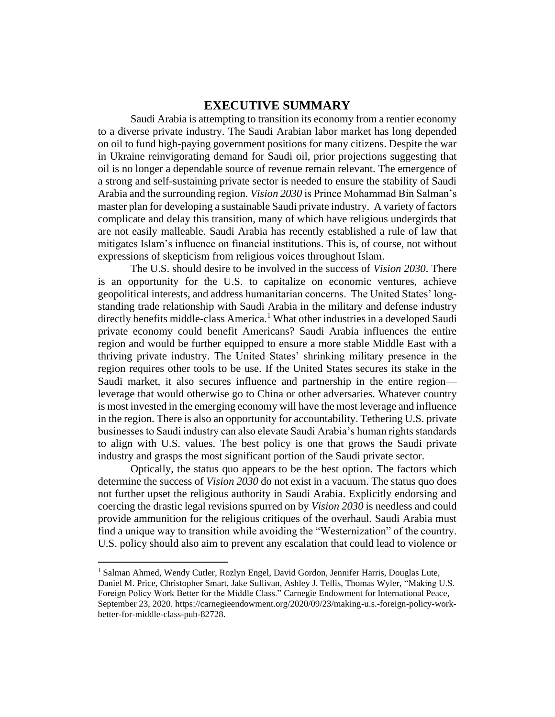# **EXECUTIVE SUMMARY**

Saudi Arabia is attempting to transition its economy from a rentier economy to a diverse private industry. The Saudi Arabian labor market has long depended on oil to fund high-paying government positions for many citizens. Despite the war in Ukraine reinvigorating demand for Saudi oil, prior projections suggesting that oil is no longer a dependable source of revenue remain relevant. The emergence of a strong and self-sustaining private sector is needed to ensure the stability of Saudi Arabia and the surrounding region. *Vision 2030* is Prince Mohammad Bin Salman's master plan for developing a sustainable Saudi private industry. A variety of factors complicate and delay this transition, many of which have religious undergirds that are not easily malleable. Saudi Arabia has recently established a rule of law that mitigates Islam's influence on financial institutions. This is, of course, not without expressions of skepticism from religious voices throughout Islam.

The U.S. should desire to be involved in the success of *Vision 2030*. There is an opportunity for the U.S. to capitalize on economic ventures, achieve geopolitical interests, and address humanitarian concerns. The United States' longstanding trade relationship with Saudi Arabia in the military and defense industry directly benefits middle-class America.<sup>1</sup> What other industries in a developed Saudi private economy could benefit Americans? Saudi Arabia influences the entire region and would be further equipped to ensure a more stable Middle East with a thriving private industry. The United States' shrinking military presence in the region requires other tools to be use. If the United States secures its stake in the Saudi market, it also secures influence and partnership in the entire region leverage that would otherwise go to China or other adversaries. Whatever country is most invested in the emerging economy will have the most leverage and influence in the region. There is also an opportunity for accountability. Tethering U.S. private businesses to Saudi industry can also elevate Saudi Arabia's human rights standards to align with U.S. values. The best policy is one that grows the Saudi private industry and grasps the most significant portion of the Saudi private sector.

Optically, the status quo appears to be the best option. The factors which determine the success of *Vision 2030* do not exist in a vacuum. The status quo does not further upset the religious authority in Saudi Arabia. Explicitly endorsing and coercing the drastic legal revisions spurred on by *Vision 2030* is needless and could provide ammunition for the religious critiques of the overhaul. Saudi Arabia must find a unique way to transition while avoiding the "Westernization" of the country. U.S. policy should also aim to prevent any escalation that could lead to violence or

<sup>&</sup>lt;sup>1</sup> Salman Ahmed, Wendy Cutler, Rozlyn Engel, David Gordon, Jennifer Harris, Douglas Lute, Daniel M. Price, Christopher Smart, Jake Sullivan, Ashley J. Tellis, Thomas Wyler, "Making U.S. Foreign Policy Work Better for the Middle Class." Carnegie Endowment for International Peace, September 23, 2020. https://carnegieendowment.org/2020/09/23/making-u.s.-foreign-policy-workbetter-for-middle-class-pub-82728.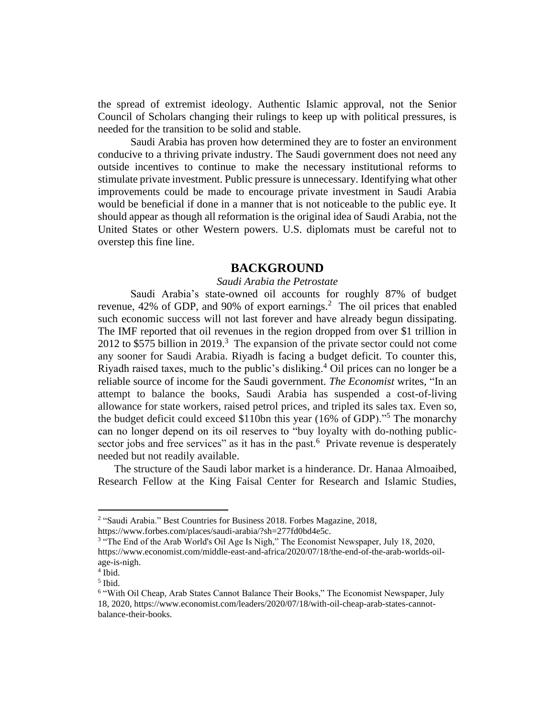the spread of extremist ideology. Authentic Islamic approval, not the Senior Council of Scholars changing their rulings to keep up with political pressures, is needed for the transition to be solid and stable.

Saudi Arabia has proven how determined they are to foster an environment conducive to a thriving private industry. The Saudi government does not need any outside incentives to continue to make the necessary institutional reforms to stimulate private investment. Public pressure is unnecessary. Identifying what other improvements could be made to encourage private investment in Saudi Arabia would be beneficial if done in a manner that is not noticeable to the public eye. It should appear as though all reformation is the original idea of Saudi Arabia, not the United States or other Western powers. U.S. diplomats must be careful not to overstep this fine line.

# **BACKGROUND**

#### *Saudi Arabia the Petrostate*

Saudi Arabia's state-owned oil accounts for roughly 87% of budget revenue, 42% of GDP, and 90% of export earnings.<sup>2</sup> The oil prices that enabled such economic success will not last forever and have already begun dissipating. The IMF reported that oil revenues in the region dropped from over \$1 trillion in 2012 to \$575 billion in 2019.<sup>3</sup> The expansion of the private sector could not come any sooner for Saudi Arabia. Riyadh is facing a budget deficit. To counter this, Riyadh raised taxes, much to the public's disliking.<sup>4</sup> Oil prices can no longer be a reliable source of income for the Saudi government. *The Economist* writes, "In an attempt to balance the books, Saudi Arabia has suspended a cost-of-living allowance for state workers, raised petrol prices, and tripled its sales tax. Even so, the budget deficit could exceed \$110bn this year (16% of GDP)."<sup>5</sup> The monarchy can no longer depend on its oil reserves to "buy loyalty with do-nothing publicsector jobs and free services" as it has in the past.<sup>6</sup> Private revenue is desperately needed but not readily available.

The structure of the Saudi labor market is a hinderance. Dr. Hanaa Almoaibed, Research Fellow at the King Faisal Center for Research and Islamic Studies,

<sup>&</sup>lt;sup>2</sup> "Saudi Arabia." Best Countries for Business 2018. Forbes Magazine, 2018,

https://www.forbes.com/places/saudi-arabia/?sh=277fd0bd4e5c.

<sup>&</sup>lt;sup>3</sup> "The End of the Arab World's Oil Age Is Nigh," The Economist Newspaper, July 18, 2020, https://www.economist.com/middle-east-and-africa/2020/07/18/the-end-of-the-arab-worlds-oilage-is-nigh.

<sup>4</sup> Ibid.

<sup>5</sup> Ibid.

<sup>&</sup>lt;sup>6</sup> "With Oil Cheap, Arab States Cannot Balance Their Books," The Economist Newspaper, July 18, 2020, https://www.economist.com/leaders/2020/07/18/with-oil-cheap-arab-states-cannotbalance-their-books.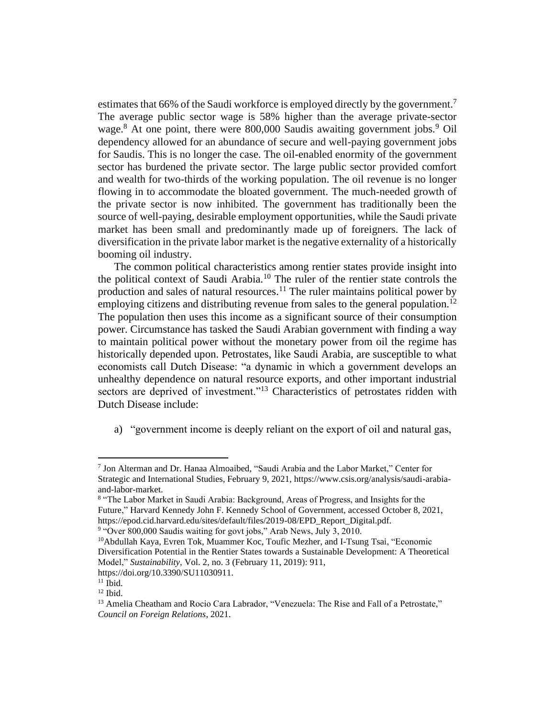estimates that 66% of the Saudi workforce is employed directly by the government.<sup>7</sup> The average public sector wage is 58% higher than the average private-sector wage.<sup>8</sup> At one point, there were 800,000 Saudis awaiting government jobs.<sup>9</sup> Oil dependency allowed for an abundance of secure and well-paying government jobs for Saudis. This is no longer the case. The oil-enabled enormity of the government sector has burdened the private sector. The large public sector provided comfort and wealth for two-thirds of the working population. The oil revenue is no longer flowing in to accommodate the bloated government. The much-needed growth of the private sector is now inhibited. The government has traditionally been the source of well-paying, desirable employment opportunities, while the Saudi private market has been small and predominantly made up of foreigners. The lack of diversification in the private labor market is the negative externality of a historically booming oil industry.

The common political characteristics among rentier states provide insight into the political context of Saudi Arabia.<sup>10</sup> The ruler of the rentier state controls the production and sales of natural resources.<sup>11</sup> The ruler maintains political power by employing citizens and distributing revenue from sales to the general population.<sup>12</sup> The population then uses this income as a significant source of their consumption power. Circumstance has tasked the Saudi Arabian government with finding a way to maintain political power without the monetary power from oil the regime has historically depended upon. Petrostates, like Saudi Arabia, are susceptible to what economists call Dutch Disease: "a dynamic in which a government develops an unhealthy dependence on natural resource exports, and other important industrial sectors are deprived of investment."<sup>13</sup> Characteristics of petrostates ridden with Dutch Disease include:

a) "government income is deeply reliant on the export of oil and natural gas,

<sup>7</sup> Jon Alterman and Dr. Hanaa Almoaibed, "Saudi Arabia and the Labor Market," Center for Strategic and International Studies, February 9, 2021, https://www.csis.org/analysis/saudi-arabiaand-labor-market.

<sup>&</sup>lt;sup>8</sup> "The Labor Market in Saudi Arabia: Background, Areas of Progress, and Insights for the Future," Harvard Kennedy John F. Kennedy School of Government, accessed October 8, 2021, https://epod.cid.harvard.edu/sites/default/files/2019-08/EPD\_Report\_Digital.pdf.

<sup>&</sup>lt;sup>9</sup> "Over 800,000 Saudis waiting for govt jobs," Arab News, July 3, 2010.

<sup>10</sup>Abdullah Kaya, Evren Tok, Muammer Koc, Toufic Mezher, and I-Tsung Tsai, "Economic Diversification Potential in the Rentier States towards a Sustainable Development: A Theoretical Model," *Sustainability*, Vol. 2, no. 3 (February 11, 2019): 911,

https://doi.org/10.3390/SU11030911.

 $11$  Ibid.

 $12$  Ibid.

<sup>&</sup>lt;sup>13</sup> Amelia Cheatham and Rocio Cara Labrador, "Venezuela: The Rise and Fall of a Petrostate," *Council on Foreign Relations*, 2021.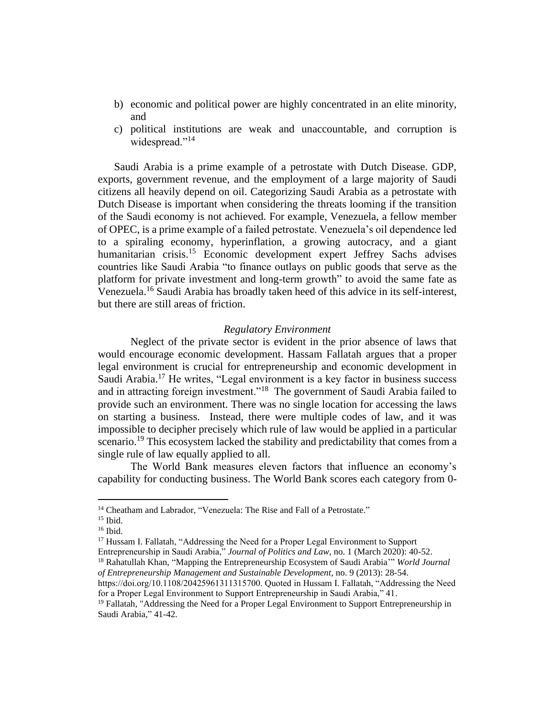- b) economic and political power are highly concentrated in an elite minority, and
- c) political institutions are weak and unaccountable, and corruption is widespread."<sup>14</sup>

Saudi Arabia is a prime example of a petrostate with Dutch Disease. GDP, exports, government revenue, and the employment of a large majority of Saudi citizens all heavily depend on oil. Categorizing Saudi Arabia as a petrostate with Dutch Disease is important when considering the threats looming if the transition of the Saudi economy is not achieved. For example, Venezuela, a fellow member of OPEC, is a prime example of a failed petrostate. Venezuela's oil dependence led to a spiraling economy, hyperinflation, a growing autocracy, and a giant humanitarian crisis.<sup>15</sup> Economic development expert Jeffrey Sachs advises countries like Saudi Arabia "to finance outlays on public goods that serve as the platform for private investment and long-term growth" to avoid the same fate as Venezuela. <sup>16</sup> Saudi Arabia has broadly taken heed of this advice in its self-interest, but there are still areas of friction.

#### *Regulatory Environment*

Neglect of the private sector is evident in the prior absence of laws that would encourage economic development. Hassam Fallatah argues that a proper legal environment is crucial for entrepreneurship and economic development in Saudi Arabia.<sup>17</sup> He writes, "Legal environment is a key factor in business success and in attracting foreign investment."<sup>18</sup> The government of Saudi Arabia failed to provide such an environment. There was no single location for accessing the laws on starting a business. Instead, there were multiple codes of law, and it was impossible to decipher precisely which rule of law would be applied in a particular scenario.<sup>19</sup> This ecosystem lacked the stability and predictability that comes from a single rule of law equally applied to all.

The World Bank measures eleven factors that influence an economy's capability for conducting business. The World Bank scores each category from 0-

<sup>&</sup>lt;sup>14</sup> Cheatham and Labrador, "Venezuela: The Rise and Fall of a Petrostate."

 $15$  Ibid.

<sup>16</sup> Ibid.

<sup>&</sup>lt;sup>17</sup> Hussam I. Fallatah, "Addressing the Need for a Proper Legal Environment to Support

Entrepreneurship in Saudi Arabia," *Journal of Politics and Law*, no. 1 (March 2020): 40-52.

<sup>18</sup> Rahatullah Khan, "Mapping the Entrepreneurship Ecosystem of Saudi Arabia'" *World Journal of Entrepreneurship Management and Sustainable Development*, no. 9 (2013): 28-54.

https://doi.org/10.1108/20425961311315700. Quoted in Hussam I. Fallatah, "Addressing the Need for a Proper Legal Environment to Support Entrepreneurship in Saudi Arabia," 41.

<sup>&</sup>lt;sup>19</sup> Fallatah, "Addressing the Need for a Proper Legal Environment to Support Entrepreneurship in Saudi Arabia," 41-42.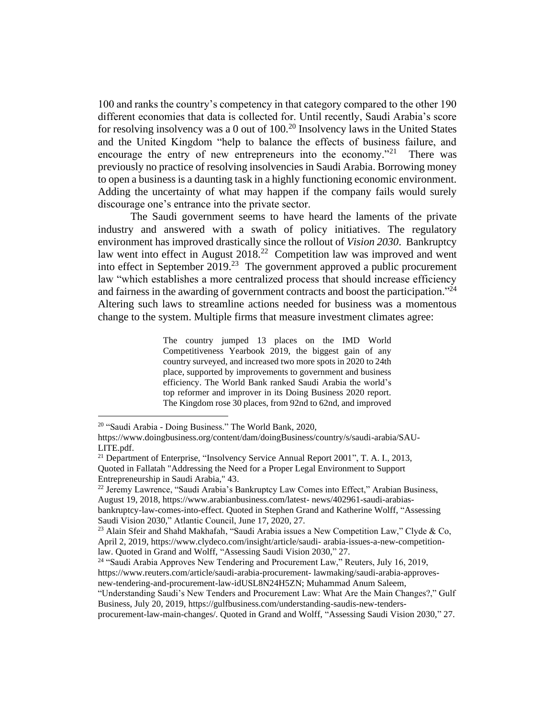100 and ranks the country's competency in that category compared to the other 190 different economies that data is collected for. Until recently, Saudi Arabia's score for resolving insolvency was a 0 out of 100.<sup>20</sup> Insolvency laws in the United States and the United Kingdom "help to balance the effects of business failure, and encourage the entry of new entrepreneurs into the economy."<sup>21</sup> There was previously no practice of resolving insolvencies in Saudi Arabia. Borrowing money to open a business is a daunting task in a highly functioning economic environment. Adding the uncertainty of what may happen if the company fails would surely discourage one's entrance into the private sector.

The Saudi government seems to have heard the laments of the private industry and answered with a swath of policy initiatives. The regulatory environment has improved drastically since the rollout of *Vision 2030*. Bankruptcy law went into effect in August  $2018<sup>22</sup>$  Competition law was improved and went into effect in September 2019.<sup>23</sup> The government approved a public procurement law "which establishes a more centralized process that should increase efficiency and fairness in the awarding of government contracts and boost the participation."<sup>24</sup> Altering such laws to streamline actions needed for business was a momentous change to the system. Multiple firms that measure investment climates agree:

> The country jumped 13 places on the IMD World Competitiveness Yearbook 2019, the biggest gain of any country surveyed, and increased two more spots in 2020 to 24th place, supported by improvements to government and business efficiency. The World Bank ranked Saudi Arabia the world's top reformer and improver in its Doing Business 2020 report. The Kingdom rose 30 places, from 92nd to 62nd, and improved

<sup>24</sup> "Saudi Arabia Approves New Tendering and Procurement Law," Reuters, July 16, 2019, https://www.reuters.com/article/saudi-arabia-procurement- lawmaking/saudi-arabia-approvesnew-tendering-and-procurement-law-idUSL8N24H5ZN; Muhammad Anum Saleem,

<sup>20</sup> "Saudi Arabia - Doing Business." The World Bank, 2020,

https://www.doingbusiness.org/content/dam/doingBusiness/country/s/saudi-arabia/SAU-LITE.pdf.

<sup>&</sup>lt;sup>21</sup> Department of Enterprise, "Insolvency Service Annual Report 2001", T. A. I., 2013, Quoted in Fallatah "Addressing the Need for a Proper Legal Environment to Support Entrepreneurship in Saudi Arabia," 43.

<sup>&</sup>lt;sup>22</sup> Jeremy Lawrence, "Saudi Arabia's Bankruptcy Law Comes into Effect," Arabian Business, August 19, 2018, https://www.arabianbusiness.com/latest- news/402961-saudi-arabiasbankruptcy-law-comes-into-effect. Quoted in Stephen Grand and Katherine Wolff, "Assessing Saudi Vision 2030," Atlantic Council, June 17, 2020, 27.

<sup>&</sup>lt;sup>23</sup> Alain Sfeir and Shahd Makhafah, "Saudi Arabia issues a New Competition Law," Clyde & Co, April 2, 2019, https://www.clydeco.com/insight/article/saudi- arabia-issues-a-new-competitionlaw. Quoted in Grand and Wolff, "Assessing Saudi Vision 2030," 27.

<sup>&</sup>quot;Understanding Saudi's New Tenders and Procurement Law: What Are the Main Changes?," Gulf Business, July 20, 2019, https://gulfbusiness.com/understanding-saudis-new-tenders-

procurement-law-main-changes/. Quoted in Grand and Wolff, "Assessing Saudi Vision 2030," 27.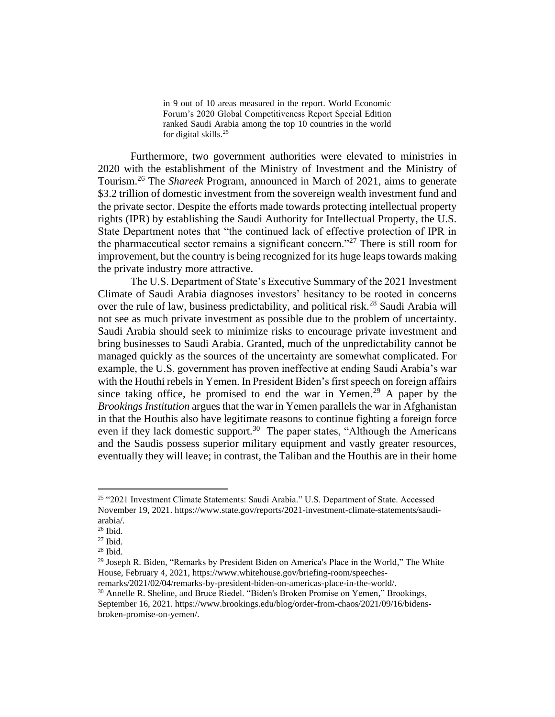in 9 out of 10 areas measured in the report. World Economic Forum's 2020 Global Competitiveness Report Special Edition ranked Saudi Arabia among the top 10 countries in the world for digital skills.<sup>25</sup>

Furthermore, two government authorities were elevated to ministries in 2020 with the establishment of the Ministry of Investment and the Ministry of Tourism.<sup>26</sup> The *Shareek* Program, announced in March of 2021, aims to generate \$3.2 trillion of domestic investment from the sovereign wealth investment fund and the private sector. Despite the efforts made towards protecting intellectual property rights (IPR) by establishing the Saudi Authority for Intellectual Property, the U.S. State Department notes that "the continued lack of effective protection of IPR in the pharmaceutical sector remains a significant concern."<sup>27</sup> There is still room for improvement, but the country is being recognized for its huge leaps towards making the private industry more attractive.

The U.S. Department of State's Executive Summary of the 2021 Investment Climate of Saudi Arabia diagnoses investors' hesitancy to be rooted in concerns over the rule of law, business predictability, and political risk.<sup>28</sup> Saudi Arabia will not see as much private investment as possible due to the problem of uncertainty. Saudi Arabia should seek to minimize risks to encourage private investment and bring businesses to Saudi Arabia. Granted, much of the unpredictability cannot be managed quickly as the sources of the uncertainty are somewhat complicated. For example, the U.S. government has proven ineffective at ending Saudi Arabia's war with the Houthi rebels in Yemen. In President Biden's first speech on foreign affairs since taking office, he promised to end the war in Yemen.<sup>29</sup> A paper by the *Brookings Institution* argues that the war in Yemen parallels the war in Afghanistan in that the Houthis also have legitimate reasons to continue fighting a foreign force even if they lack domestic support.<sup>30</sup> The paper states, "Although the Americans" and the Saudis possess superior military equipment and vastly greater resources, eventually they will leave; in contrast, the Taliban and the Houthis are in their home

<sup>25</sup> "2021 Investment Climate Statements: Saudi Arabia." U.S. Department of State. Accessed November 19, 2021. https://www.state.gov/reports/2021-investment-climate-statements/saudiarabia/.

 $26$  Ibid.

 $27$  Ibid.

 $28$  Ibid.

<sup>&</sup>lt;sup>29</sup> Joseph R. Biden, "Remarks by President Biden on America's Place in the World," The White House, February 4, 2021, https://www.whitehouse.gov/briefing-room/speeches-

remarks/2021/02/04/remarks-by-president-biden-on-americas-place-in-the-world/.

<sup>&</sup>lt;sup>30</sup> Annelle R. Sheline, and Bruce Riedel. "Biden's Broken Promise on Yemen," Brookings, September 16, 2021. https://www.brookings.edu/blog/order-from-chaos/2021/09/16/bidensbroken-promise-on-yemen/.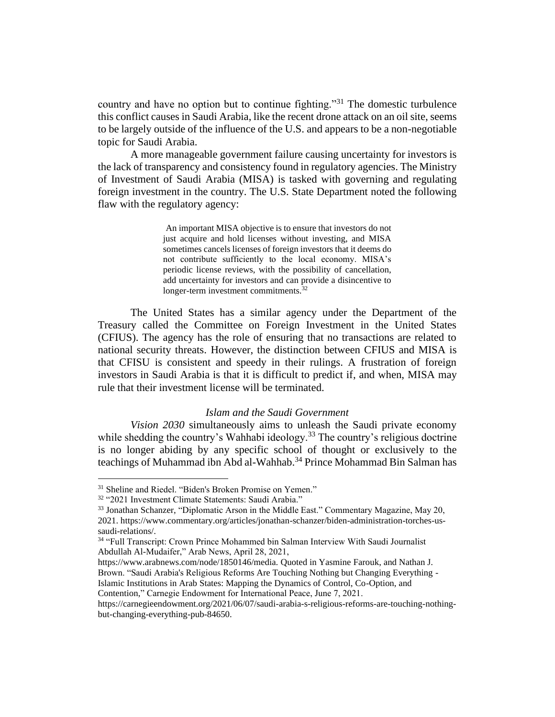country and have no option but to continue fighting."<sup>31</sup> The domestic turbulence this conflict causes in Saudi Arabia, like the recent drone attack on an oil site, seems to be largely outside of the influence of the U.S. and appears to be a non-negotiable topic for Saudi Arabia.

A more manageable government failure causing uncertainty for investors is the lack of transparency and consistency found in regulatory agencies. The Ministry of Investment of Saudi Arabia (MISA) is tasked with governing and regulating foreign investment in the country. The U.S. State Department noted the following flaw with the regulatory agency:

> An important MISA objective is to ensure that investors do not just acquire and hold licenses without investing, and MISA sometimes cancels licenses of foreign investors that it deems do not contribute sufficiently to the local economy. MISA's periodic license reviews, with the possibility of cancellation, add uncertainty for investors and can provide a disincentive to longer-term investment commitments.<sup>32</sup>

The United States has a similar agency under the Department of the Treasury called the Committee on Foreign Investment in the United States (CFIUS). The agency has the role of ensuring that no transactions are related to national security threats. However, the distinction between CFIUS and MISA is that CFISU is consistent and speedy in their rulings. A frustration of foreign investors in Saudi Arabia is that it is difficult to predict if, and when, MISA may rule that their investment license will be terminated.

### *Islam and the Saudi Government*

*Vision 2030* simultaneously aims to unleash the Saudi private economy while shedding the country's Wahhabi ideology.<sup>33</sup> The country's religious doctrine is no longer abiding by any specific school of thought or exclusively to the teachings of Muhammad ibn Abd al-Wahhab.<sup>34</sup> Prince Mohammad Bin Salman has

https://www.arabnews.com/node/1850146/media. Quoted in Yasmine Farouk, and Nathan J. Brown. "Saudi Arabia's Religious Reforms Are Touching Nothing but Changing Everything -

Islamic Institutions in Arab States: Mapping the Dynamics of Control, Co-Option, and

Contention," Carnegie Endowment for International Peace, June 7, 2021.

<sup>31</sup> Sheline and Riedel. "Biden's Broken Promise on Yemen."

<sup>32</sup> "2021 Investment Climate Statements: Saudi Arabia."

<sup>33</sup> Jonathan Schanzer, "Diplomatic Arson in the Middle East." Commentary Magazine, May 20, 2021. https://www.commentary.org/articles/jonathan-schanzer/biden-administration-torches-ussaudi-relations/.

<sup>&</sup>lt;sup>34</sup> "Full Transcript: Crown Prince Mohammed bin Salman Interview With Saudi Journalist Abdullah Al-Mudaifer," Arab News, April 28, 2021,

https://carnegieendowment.org/2021/06/07/saudi-arabia-s-religious-reforms-are-touching-nothingbut-changing-everything-pub-84650.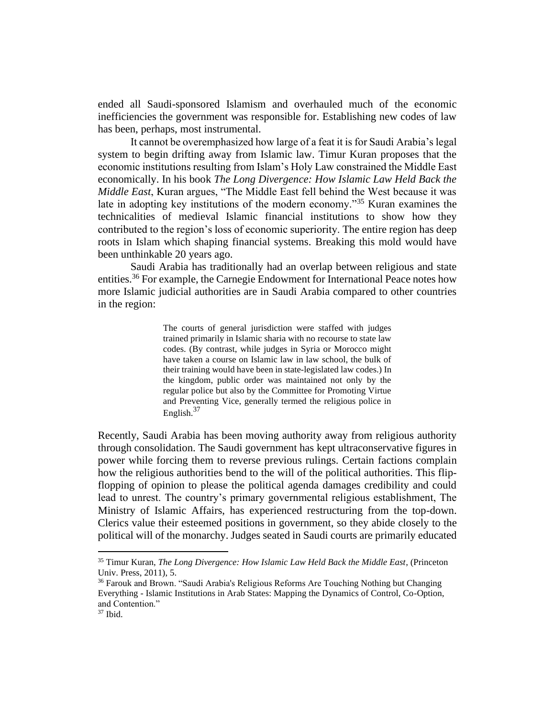ended all Saudi-sponsored Islamism and overhauled much of the economic inefficiencies the government was responsible for. Establishing new codes of law has been, perhaps, most instrumental.

It cannot be overemphasized how large of a feat it is for Saudi Arabia's legal system to begin drifting away from Islamic law. Timur Kuran proposes that the economic institutions resulting from Islam's Holy Law constrained the Middle East economically. In his book *The Long Divergence: How Islamic Law Held Back the Middle East*, Kuran argues, "The Middle East fell behind the West because it was late in adopting key institutions of the modern economy."<sup>35</sup> Kuran examines the technicalities of medieval Islamic financial institutions to show how they contributed to the region's loss of economic superiority. The entire region has deep roots in Islam which shaping financial systems. Breaking this mold would have been unthinkable 20 years ago.

Saudi Arabia has traditionally had an overlap between religious and state entities.<sup>36</sup> For example, the Carnegie Endowment for International Peace notes how more Islamic judicial authorities are in Saudi Arabia compared to other countries in the region:

> The courts of general jurisdiction were staffed with judges trained primarily in Islamic sharia with no recourse to state law codes. (By contrast, while judges in Syria or Morocco might have taken a course on Islamic law in law school, the bulk of their training would have been in state-legislated law codes.) In the kingdom, public order was maintained not only by the regular police but also by the Committee for Promoting Virtue and Preventing Vice, generally termed the religious police in English. $37$

Recently, Saudi Arabia has been moving authority away from religious authority through consolidation. The Saudi government has kept ultraconservative figures in power while forcing them to reverse previous rulings. Certain factions complain how the religious authorities bend to the will of the political authorities. This flipflopping of opinion to please the political agenda damages credibility and could lead to unrest. The country's primary governmental religious establishment, The Ministry of Islamic Affairs, has experienced restructuring from the top-down. Clerics value their esteemed positions in government, so they abide closely to the political will of the monarchy. Judges seated in Saudi courts are primarily educated

<sup>35</sup> Timur Kuran, *The Long Divergence: How Islamic Law Held Back the Middle East*, (Princeton Univ. Press, 2011), 5.

<sup>36</sup> Farouk and Brown. "Saudi Arabia's Religious Reforms Are Touching Nothing but Changing Everything - Islamic Institutions in Arab States: Mapping the Dynamics of Control, Co-Option, and Contention."

 $37$  Ibid.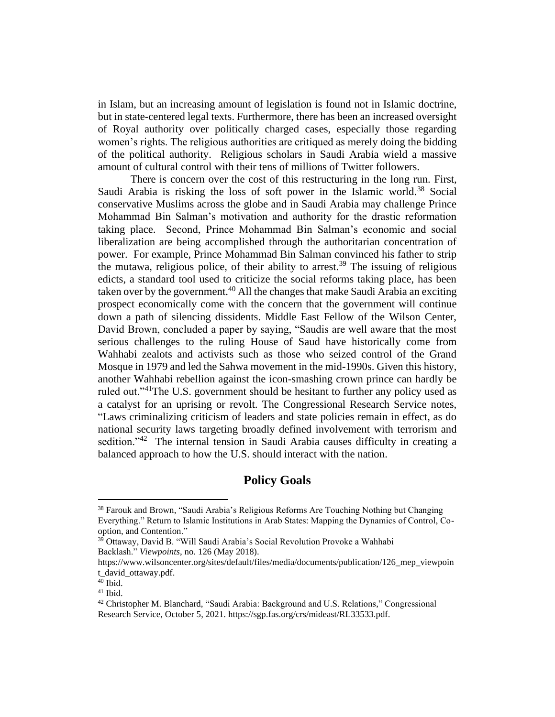in Islam, but an increasing amount of legislation is found not in Islamic doctrine, but in state-centered legal texts. Furthermore, there has been an increased oversight of Royal authority over politically charged cases, especially those regarding women's rights. The religious authorities are critiqued as merely doing the bidding of the political authority. Religious scholars in Saudi Arabia wield a massive amount of cultural control with their tens of millions of Twitter followers.

There is concern over the cost of this restructuring in the long run. First, Saudi Arabia is risking the loss of soft power in the Islamic world.<sup>38</sup> Social conservative Muslims across the globe and in Saudi Arabia may challenge Prince Mohammad Bin Salman's motivation and authority for the drastic reformation taking place. Second, Prince Mohammad Bin Salman's economic and social liberalization are being accomplished through the authoritarian concentration of power. For example, Prince Mohammad Bin Salman convinced his father to strip the mutawa, religious police, of their ability to arrest.<sup>39</sup> The issuing of religious edicts, a standard tool used to criticize the social reforms taking place, has been taken over by the government.<sup>40</sup> All the changes that make Saudi Arabia an exciting prospect economically come with the concern that the government will continue down a path of silencing dissidents. Middle East Fellow of the Wilson Center, David Brown, concluded a paper by saying, "Saudis are well aware that the most serious challenges to the ruling House of Saud have historically come from Wahhabi zealots and activists such as those who seized control of the Grand Mosque in 1979 and led the Sahwa movement in the mid-1990s. Given this history, another Wahhabi rebellion against the icon-smashing crown prince can hardly be ruled out."<sup>41</sup>The U.S. government should be hesitant to further any policy used as a catalyst for an uprising or revolt. The Congressional Research Service notes, "Laws criminalizing criticism of leaders and state policies remain in effect, as do national security laws targeting broadly defined involvement with terrorism and sedition."<sup>42</sup> The internal tension in Saudi Arabia causes difficulty in creating a balanced approach to how the U.S. should interact with the nation.

# **Policy Goals**

<sup>38</sup> Farouk and Brown, "Saudi Arabia's Religious Reforms Are Touching Nothing but Changing Everything." Return to Islamic Institutions in Arab States: Mapping the Dynamics of Control, Cooption, and Contention."

<sup>&</sup>lt;sup>39</sup> Ottaway, David B. "Will Saudi Arabia's Social Revolution Provoke a Wahhabi Backlash." *Viewpoints*, no. 126 (May 2018).

https://www.wilsoncenter.org/sites/default/files/media/documents/publication/126\_mep\_viewpoin t\_david\_ottaway.pdf.

 $40$  Ibid.

<sup>41</sup> Ibid.

<sup>42</sup> Christopher M. Blanchard, "Saudi Arabia: Background and U.S. Relations," Congressional Research Service, October 5, 2021. https://sgp.fas.org/crs/mideast/RL33533.pdf.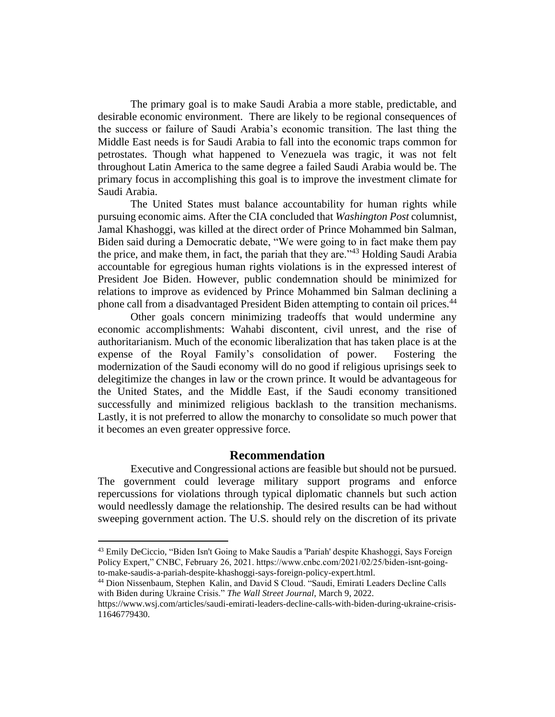The primary goal is to make Saudi Arabia a more stable, predictable, and desirable economic environment. There are likely to be regional consequences of the success or failure of Saudi Arabia's economic transition. The last thing the Middle East needs is for Saudi Arabia to fall into the economic traps common for petrostates. Though what happened to Venezuela was tragic, it was not felt throughout Latin America to the same degree a failed Saudi Arabia would be. The primary focus in accomplishing this goal is to improve the investment climate for Saudi Arabia.

The United States must balance accountability for human rights while pursuing economic aims. After the CIA concluded that *Washington Post* columnist, Jamal Khashoggi, was killed at the direct order of Prince Mohammed bin Salman, Biden said during a Democratic debate, "We were going to in fact make them pay the price, and make them, in fact, the pariah that they are."<sup>43</sup> Holding Saudi Arabia accountable for egregious human rights violations is in the expressed interest of President Joe Biden. However, public condemnation should be minimized for relations to improve as evidenced by Prince Mohammed bin Salman declining a phone call from a disadvantaged President Biden attempting to contain oil prices.<sup>44</sup>

Other goals concern minimizing tradeoffs that would undermine any economic accomplishments: Wahabi discontent, civil unrest, and the rise of authoritarianism. Much of the economic liberalization that has taken place is at the expense of the Royal Family's consolidation of power. Fostering the modernization of the Saudi economy will do no good if religious uprisings seek to delegitimize the changes in law or the crown prince. It would be advantageous for the United States, and the Middle East, if the Saudi economy transitioned successfully and minimized religious backlash to the transition mechanisms. Lastly, it is not preferred to allow the monarchy to consolidate so much power that it becomes an even greater oppressive force.

## **Recommendation**

Executive and Congressional actions are feasible but should not be pursued. The government could leverage military support programs and enforce repercussions for violations through typical diplomatic channels but such action would needlessly damage the relationship. The desired results can be had without sweeping government action. The U.S. should rely on the discretion of its private

<sup>43</sup> Emily DeCiccio, "Biden Isn't Going to Make Saudis a 'Pariah' despite Khashoggi, Says Foreign Policy Expert," CNBC, February 26, 2021. https://www.cnbc.com/2021/02/25/biden-isnt-goingto-make-saudis-a-pariah-despite-khashoggi-says-foreign-policy-expert.html.

<sup>44</sup> Dion Nissenbaum, Stephen Kalin, and David S Cloud. "Saudi, Emirati Leaders Decline Calls with Biden during Ukraine Crisis." *The Wall Street Journal*, March 9, 2022.

https://www.wsj.com/articles/saudi-emirati-leaders-decline-calls-with-biden-during-ukraine-crisis-11646779430.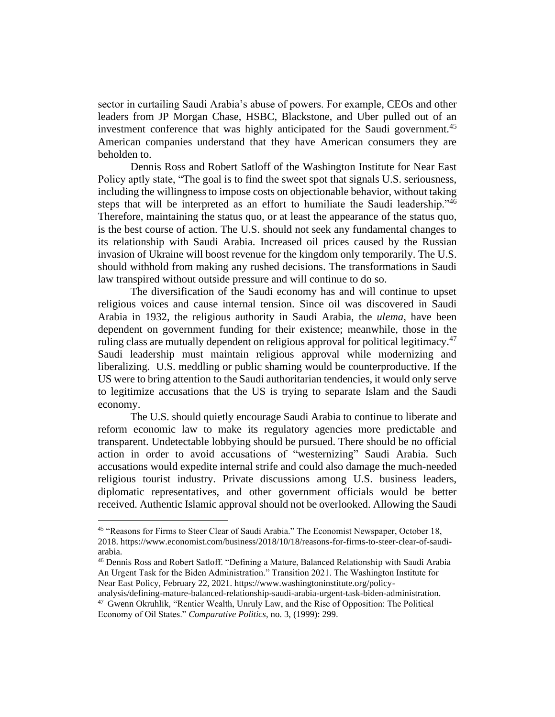sector in curtailing Saudi Arabia's abuse of powers. For example, CEOs and other leaders from JP Morgan Chase, HSBC, Blackstone, and Uber pulled out of an investment conference that was highly anticipated for the Saudi government.<sup>45</sup> American companies understand that they have American consumers they are beholden to.

Dennis Ross and Robert Satloff of the Washington Institute for Near East Policy aptly state, "The goal is to find the sweet spot that signals U.S. seriousness, including the willingness to impose costs on objectionable behavior, without taking steps that will be interpreted as an effort to humiliate the Saudi leadership."<sup>46</sup> Therefore, maintaining the status quo, or at least the appearance of the status quo, is the best course of action. The U.S. should not seek any fundamental changes to its relationship with Saudi Arabia. Increased oil prices caused by the Russian invasion of Ukraine will boost revenue for the kingdom only temporarily. The U.S. should withhold from making any rushed decisions. The transformations in Saudi law transpired without outside pressure and will continue to do so.

The diversification of the Saudi economy has and will continue to upset religious voices and cause internal tension. Since oil was discovered in Saudi Arabia in 1932, the religious authority in Saudi Arabia, the *ulema*, have been dependent on government funding for their existence; meanwhile, those in the ruling class are mutually dependent on religious approval for political legitimacy.<sup>47</sup> Saudi leadership must maintain religious approval while modernizing and liberalizing. U.S. meddling or public shaming would be counterproductive. If the US were to bring attention to the Saudi authoritarian tendencies, it would only serve to legitimize accusations that the US is trying to separate Islam and the Saudi economy.

The U.S. should quietly encourage Saudi Arabia to continue to liberate and reform economic law to make its regulatory agencies more predictable and transparent. Undetectable lobbying should be pursued. There should be no official action in order to avoid accusations of "westernizing" Saudi Arabia. Such accusations would expedite internal strife and could also damage the much-needed religious tourist industry. Private discussions among U.S. business leaders, diplomatic representatives, and other government officials would be better received. Authentic Islamic approval should not be overlooked. Allowing the Saudi

<sup>&</sup>lt;sup>45</sup> "Reasons for Firms to Steer Clear of Saudi Arabia." The Economist Newspaper, October 18, 2018. https://www.economist.com/business/2018/10/18/reasons-for-firms-to-steer-clear-of-saudiarabia.

<sup>46</sup> Dennis Ross and Robert Satloff. "Defining a Mature, Balanced Relationship with Saudi Arabia An Urgent Task for the Biden Administration." Transition 2021. The Washington Institute for Near East Policy, February 22, 2021. https://www.washingtoninstitute.org/policy-

analysis/defining-mature-balanced-relationship-saudi-arabia-urgent-task-biden-administration. <sup>47</sup> Gwenn Okruhlik, "Rentier Wealth, Unruly Law, and the Rise of Opposition: The Political Economy of Oil States." *Comparative Politics*, no. 3, (1999): 299.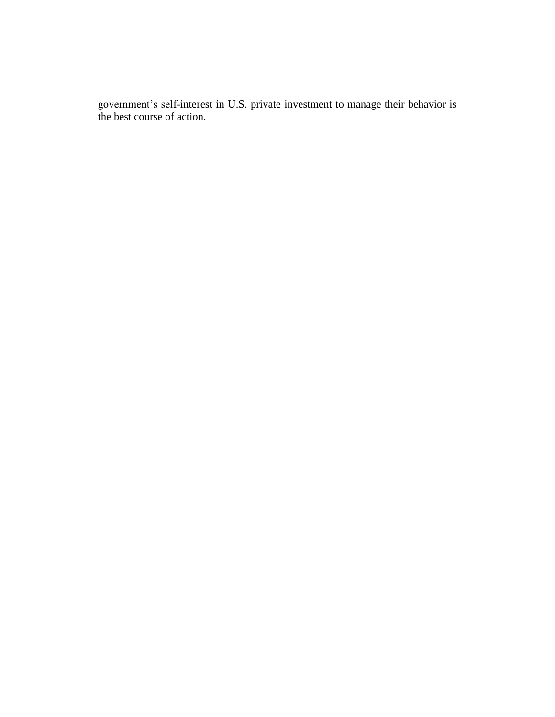government's self-interest in U.S. private investment to manage their behavior is the best course of action.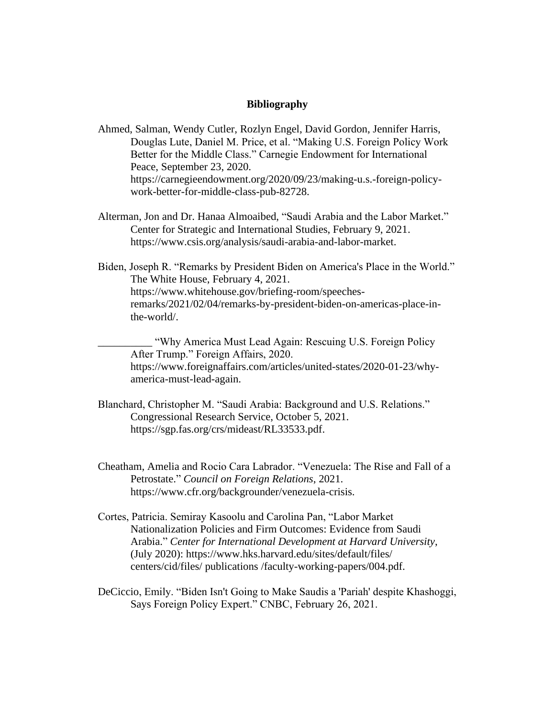## **Bibliography**

Ahmed, Salman, Wendy Cutler, Rozlyn Engel, David Gordon, Jennifer Harris, Douglas Lute, Daniel M. Price, et al. "Making U.S. Foreign Policy Work Better for the Middle Class." Carnegie Endowment for International Peace, September 23, 2020. https://carnegieendowment.org/2020/09/23/making-u.s.-foreign-policywork-better-for-middle-class-pub-82728.

- Alterman, Jon and Dr. Hanaa Almoaibed, "Saudi Arabia and the Labor Market." Center for Strategic and International Studies, February 9, 2021. https://www.csis.org/analysis/saudi-arabia-and-labor-market.
- Biden, Joseph R. "Remarks by President Biden on America's Place in the World." The White House, February 4, 2021. https://www.whitehouse.gov/briefing-room/speechesremarks/2021/02/04/remarks-by-president-biden-on-americas-place-inthe-world/.

"Why America Must Lead Again: Rescuing U.S. Foreign Policy After Trump." Foreign Affairs, 2020. https://www.foreignaffairs.com/articles/united-states/2020-01-23/whyamerica-must-lead-again.

- Blanchard, Christopher M. "Saudi Arabia: Background and U.S. Relations." Congressional Research Service, October 5, 2021. https://sgp.fas.org/crs/mideast/RL33533.pdf.
- Cheatham, Amelia and Rocio Cara Labrador. "Venezuela: The Rise and Fall of a Petrostate." *Council on Foreign Relations*, 2021. https://www.cfr.org/backgrounder/venezuela-crisis.
- Cortes, Patricia. Semiray Kasoolu and Carolina Pan, "Labor Market Nationalization Policies and Firm Outcomes: Evidence from Saudi Arabia." *Center for International Development at Harvard University*, (July 2020): https://www.hks.harvard.edu/sites/default/files/ centers/cid/files/ publications /faculty-working-papers/004.pdf.
- DeCiccio, Emily. "Biden Isn't Going to Make Saudis a 'Pariah' despite Khashoggi, Says Foreign Policy Expert." CNBC, February 26, 2021.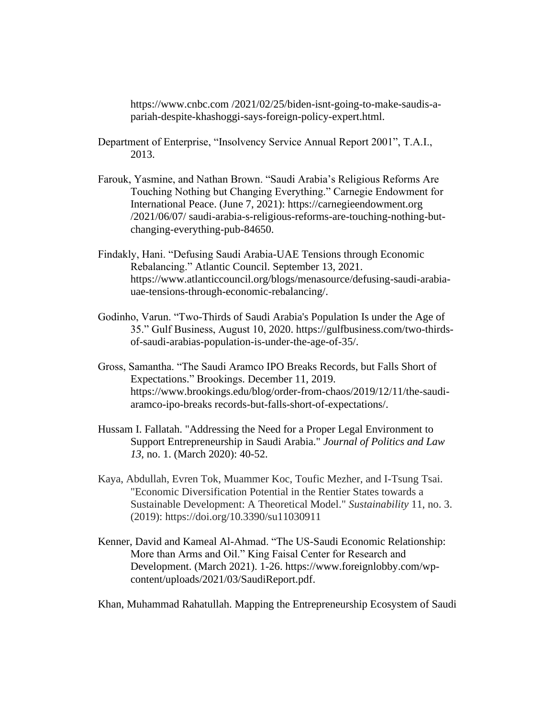https://www.cnbc.com /2021/02/25/biden-isnt-going-to-make-saudis-apariah-despite-khashoggi-says-foreign-policy-expert.html.

- Department of Enterprise, "Insolvency Service Annual Report 2001", T.A.I., 2013.
- Farouk, Yasmine, and Nathan Brown. "Saudi Arabia's Religious Reforms Are Touching Nothing but Changing Everything." Carnegie Endowment for International Peace. (June 7, 2021): https://carnegieendowment.org /2021/06/07/ saudi-arabia-s-religious-reforms-are-touching-nothing-butchanging-everything-pub-84650.
- Findakly, Hani. "Defusing Saudi Arabia-UAE Tensions through Economic Rebalancing." Atlantic Council. September 13, 2021. https://www.atlanticcouncil.org/blogs/menasource/defusing-saudi-arabiauae-tensions-through-economic-rebalancing/.
- Godinho, Varun. "Two-Thirds of Saudi Arabia's Population Is under the Age of 35." Gulf Business, August 10, 2020. https://gulfbusiness.com/two-thirdsof-saudi-arabias-population-is-under-the-age-of-35/.
- Gross, Samantha. "The Saudi Aramco IPO Breaks Records, but Falls Short of Expectations." Brookings. December 11, 2019. https://www.brookings.edu/blog/order-from-chaos/2019/12/11/the-saudiaramco-ipo-breaks records-but-falls-short-of-expectations/.
- Hussam I. Fallatah. "Addressing the Need for a Proper Legal Environment to Support Entrepreneurship in Saudi Arabia." *Journal of Politics and Law 13*, no. 1. (March 2020): 40-52.
- Kaya, Abdullah, Evren Tok, Muammer Koc, Toufic Mezher, and I-Tsung Tsai. "Economic Diversification Potential in the Rentier States towards a Sustainable Development: A Theoretical Model." *Sustainability* 11, no. 3. (2019): https://doi.org/10.3390/su11030911
- Kenner, David and Kameal Al-Ahmad. "The US-Saudi Economic Relationship: More than Arms and Oil." King Faisal Center for Research and Development. (March 2021). 1-26. https://www.foreignlobby.com/wpcontent/uploads/2021/03/SaudiReport.pdf.

Khan, Muhammad Rahatullah. Mapping the Entrepreneurship Ecosystem of Saudi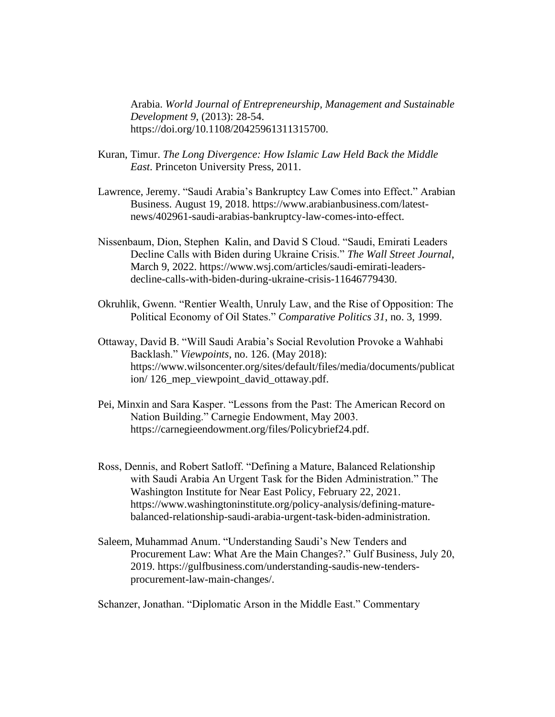Arabia. *World Journal of Entrepreneurship, Management and Sustainable Development 9*, (2013): 28-54. https://doi.org/10.1108/20425961311315700.

- Kuran, Timur. *The Long Divergence: How Islamic Law Held Back the Middle East*. Princeton University Press, 2011.
- Lawrence, Jeremy. "Saudi Arabia's Bankruptcy Law Comes into Effect." Arabian Business. August 19, 2018. https://www.arabianbusiness.com/latestnews/402961-saudi-arabias-bankruptcy-law-comes-into-effect.
- Nissenbaum, Dion, Stephen Kalin, and David S Cloud. "Saudi, Emirati Leaders Decline Calls with Biden during Ukraine Crisis." *The Wall Street Journal*, March 9, 2022. https://www.wsj.com/articles/saudi-emirati-leadersdecline-calls-with-biden-during-ukraine-crisis-11646779430.
- Okruhlik, Gwenn. "Rentier Wealth, Unruly Law, and the Rise of Opposition: The Political Economy of Oil States." *Comparative Politics 31*, no. 3, 1999.
- Ottaway, David B. "Will Saudi Arabia's Social Revolution Provoke a Wahhabi Backlash." *Viewpoints*, no. 126. (May 2018): https://www.wilsoncenter.org/sites/default/files/media/documents/publicat ion/126 mep viewpoint david ottaway.pdf.
- Pei, Minxin and Sara Kasper. "Lessons from the Past: The American Record on Nation Building." Carnegie Endowment, May 2003. https://carnegieendowment.org/files/Policybrief24.pdf.
- Ross, Dennis, and Robert Satloff. "Defining a Mature, Balanced Relationship with Saudi Arabia An Urgent Task for the Biden Administration." The Washington Institute for Near East Policy, February 22, 2021. https://www.washingtoninstitute.org/policy-analysis/defining-maturebalanced-relationship-saudi-arabia-urgent-task-biden-administration.
- Saleem, Muhammad Anum. "Understanding Saudi's New Tenders and Procurement Law: What Are the Main Changes?." Gulf Business, July 20, 2019. https://gulfbusiness.com/understanding-saudis-new-tendersprocurement-law-main-changes/.

Schanzer, Jonathan. "Diplomatic Arson in the Middle East." Commentary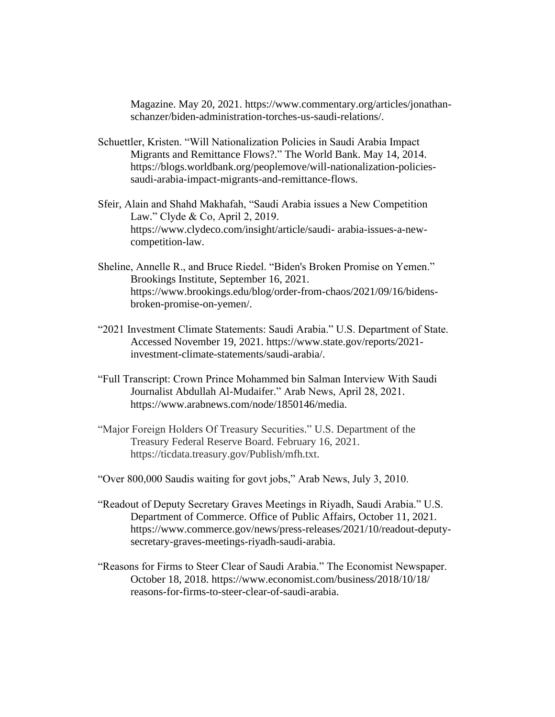Magazine. May 20, 2021. https://www.commentary.org/articles/jonathanschanzer/biden-administration-torches-us-saudi-relations/.

- Schuettler, Kristen. "Will Nationalization Policies in Saudi Arabia Impact Migrants and Remittance Flows?." The World Bank. May 14, 2014. https://blogs.worldbank.org/peoplemove/will-nationalization-policiessaudi-arabia-impact-migrants-and-remittance-flows.
- Sfeir, Alain and Shahd Makhafah, "Saudi Arabia issues a New Competition Law." Clyde & Co, April 2, 2019. https://www.clydeco.com/insight/article/saudi- arabia-issues-a-newcompetition-law.
- Sheline, Annelle R., and Bruce Riedel. "Biden's Broken Promise on Yemen." Brookings Institute, September 16, 2021. https://www.brookings.edu/blog/order-from-chaos/2021/09/16/bidensbroken-promise-on-yemen/.
- "2021 Investment Climate Statements: Saudi Arabia." U.S. Department of State. Accessed November 19, 2021. https://www.state.gov/reports/2021 investment-climate-statements/saudi-arabia/.
- "Full Transcript: Crown Prince Mohammed bin Salman Interview With Saudi Journalist Abdullah Al-Mudaifer." Arab News, April 28, 2021. https://www.arabnews.com/node/1850146/media.
- "Major Foreign Holders Of Treasury Securities." U.S. Department of the Treasury Federal Reserve Board. February 16, 2021. https://ticdata.treasury.gov/Publish/mfh.txt.
- "Over 800,000 Saudis waiting for govt jobs," Arab News, July 3, 2010.
- "Readout of Deputy Secretary Graves Meetings in Riyadh, Saudi Arabia." U.S. Department of Commerce. Office of Public Affairs, October 11, 2021. https://www.commerce.gov/news/press-releases/2021/10/readout-deputysecretary-graves-meetings-riyadh-saudi-arabia.
- "Reasons for Firms to Steer Clear of Saudi Arabia." The Economist Newspaper. October 18, 2018. https://www.economist.com/business/2018/10/18/ reasons-for-firms-to-steer-clear-of-saudi-arabia.